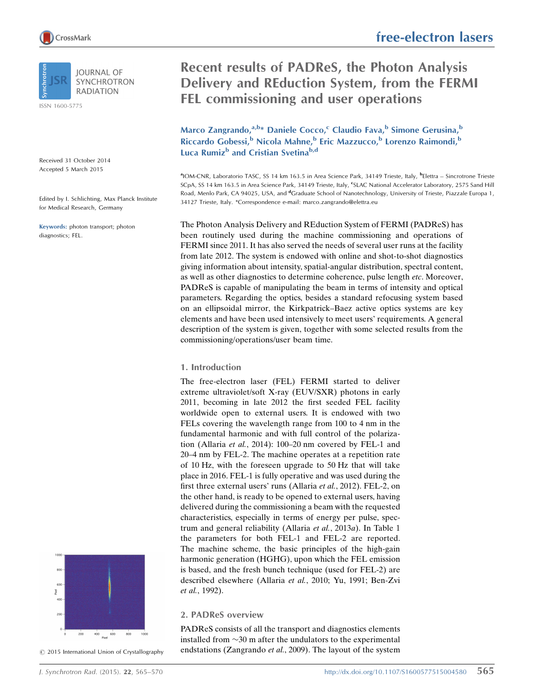

**IOURNAL OF** SYNCHROTRON **RADIATION** 

ISSN 1600-5775

Received 31 October 2014 Accepted 5 March 2015

Edited by I. Schlichting, Max Planck Institute for Medical Research, Germany

Keywords: photon transport; photon diagnostics; FEL.

# 800  $600$ Pixel 200  $400$ <br>Pixel  $600$

 $©$  2015 International Union of Crystallography

# Recent results of PADReS, the Photon Analysis Delivery and REduction System, from the FERMI FEL commissioning and user operations

Marco Zangrando,<sup>a,b\*</sup> Daniele Cocco,<sup>c</sup> Claudio Fava,<sup>b</sup> Simone Gerusina,<sup>b</sup> Riccardo Gobessi,<sup>b</sup> Nicola Mahne,<sup>b</sup> Eric Mazzucco,<sup>b</sup> Lorenzo Raimondi,<sup>b</sup> Luca Rumiz<sup>b</sup> and Cristian Svetina<sup>b,d</sup>

<sup>a</sup>IOM-CNR, Laboratorio TASC, SS 14 km 163.5 in Area Science Park, 34149 Trieste, Italy, <sup>b</sup>Elettra – Sincrotrone Trieste SCpA, SS 14 km 163.5 in Area Science Park, 34149 Trieste, Italy, <sup>c</sup>SLAC National Accelerator Laboratory, 2575 Sand Hill Road, Menlo Park, CA 94025, USA, and <sup>d</sup>Graduate School of Nanotechnology, University of Trieste, Piazzale Europa 1, 34127 Trieste, Italy. \*Correspondence e-mail: marco.zangrando@elettra.eu

The Photon Analysis Delivery and REduction System of FERMI (PADReS) has been routinely used during the machine commissioning and operations of FERMI since 2011. It has also served the needs of several user runs at the facility from late 2012. The system is endowed with online and shot-to-shot diagnostics giving information about intensity, spatial-angular distribution, spectral content, as well as other diagnostics to determine coherence, pulse length etc. Moreover, PADReS is capable of manipulating the beam in terms of intensity and optical parameters. Regarding the optics, besides a standard refocusing system based on an ellipsoidal mirror, the Kirkpatrick–Baez active optics systems are key elements and have been used intensively to meet users' requirements. A general description of the system is given, together with some selected results from the commissioning/operations/user beam time.

### 1. Introduction

The free-electron laser (FEL) FERMI started to deliver extreme ultraviolet/soft X-ray (EUV/SXR) photons in early 2011, becoming in late 2012 the first seeded FEL facility worldwide open to external users. It is endowed with two FELs covering the wavelength range from 100 to 4 nm in the fundamental harmonic and with full control of the polarization (Allaria et al., 2014): 100–20 nm covered by FEL-1 and 20–4 nm by FEL-2. The machine operates at a repetition rate of 10 Hz, with the foreseen upgrade to 50 Hz that will take place in 2016. FEL-1 is fully operative and was used during the first three external users' runs (Allaria et al., 2012). FEL-2, on the other hand, is ready to be opened to external users, having delivered during the commissioning a beam with the requested characteristics, especially in terms of energy per pulse, spectrum and general reliability (Allaria et al., 2013a). In Table 1 the parameters for both FEL-1 and FEL-2 are reported. The machine scheme, the basic principles of the high-gain harmonic generation (HGHG), upon which the FEL emission is based, and the fresh bunch technique (used for FEL-2) are described elsewhere (Allaria et al., 2010; Yu, 1991; Ben-Zvi et al., 1992).

## 2. PADReS overview

PADReS consists of all the transport and diagnostics elements installed from  $\sim$ 30 m after the undulators to the experimental endstations (Zangrando et al., 2009). The layout of the system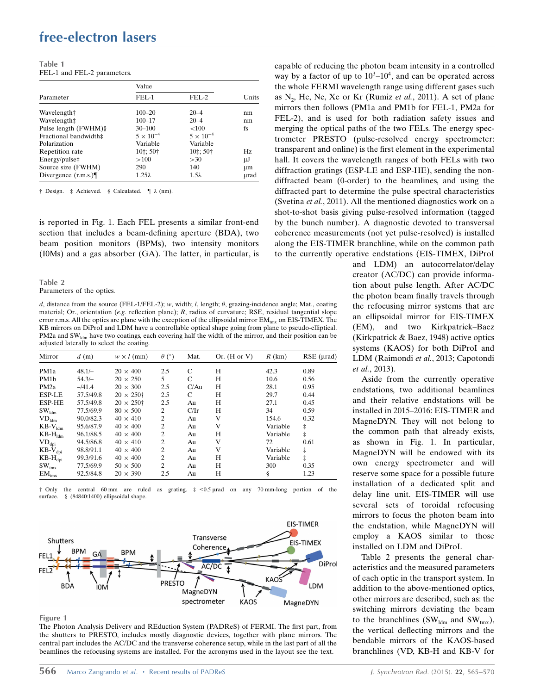## free-electron lasers

| Table 1 |                             |
|---------|-----------------------------|
|         | FEL-1 and FEL-2 parameters. |

|                       | Value              |                    |       |
|-----------------------|--------------------|--------------------|-------|
| Parameter             | FEL-1              | FEL-2              | Units |
| Wavelength†           | $100 - 20$         | $20 - 4$           | nm    |
| Wavelength‡           | $100 - 17$         | $20 - 4$           | nm    |
| Pulse length (FWHM)§  | $30 - 100$         | ${<}100$           | fs    |
| Fractional bandwidth‡ | $5 \times 10^{-4}$ | $5 \times 10^{-4}$ |       |
| Polarization          | Variable           | Variable           |       |
| Repetition rate       | 10‡: 50†           | $10:50^+$          | Hz.   |
| Energy/pulse‡         | >100               | >30                | μJ    |
| Source size (FWHM)    | 290                | 140                | μm    |
| Divergence $(r.m.s.)$ | $1.25\lambda$      | $1.5\lambda$       | µrad  |

 $\dagger$  Design.  $\ddagger$  Achieved. § Calculated.  $\P \lambda$  (nm).

is reported in Fig. 1. Each FEL presents a similar front-end section that includes a beam-defining aperture (BDA), two beam position monitors (BPMs), two intensity monitors (I0Ms) and a gas absorber (GA). The latter, in particular, is

#### Table 2

#### Parameters of the optics.

d, distance from the source (FEL-1/FEL-2); w, width; l, length;  $\theta$ , grazing-incidence angle; Mat., coating material; Or., orientation (e.g. reflection plane); R, radius of curvature; RSE, residual tangential slope error r.m.s. All the optics are plane with the exception of the ellipsoidal mirror EM<sub>tmx</sub> on EIS-TIMEX. The KB mirrors on DiProI and LDM have a controllable optical shape going from plane to pseudo-elliptical. PM2a and SW<sub>Idm</sub> have two coatings, each covering half the width of the mirror, and their position can be adjusted laterally to select the coating.

| Mirror              | d(m)      | $w \times l$ (mm)   | $\theta$ (°)   | Mat. | Or. $(H \text{ or } V)$ | $R$ (km) | $RSE$ ( $\mu$ rad) |
|---------------------|-----------|---------------------|----------------|------|-------------------------|----------|--------------------|
| PM <sub>1</sub> a   | $48.1/-$  | $20 \times 400$     | 2.5            | C    | H                       | 42.3     | 0.89               |
| PM1b                | $54.3/-$  | $20 \times 250$     | 5              | C    | H                       | 10.6     | 0.56               |
| PM <sub>2a</sub>    | $-141.4$  | $20 \times 300$     | 2.5            | C/Au | н                       | 28.1     | 0.95               |
| <b>ESP-LE</b>       | 57.5/49.8 | $20 \times 250^{4}$ | 2.5            | C    | Н                       | 29.7     | 0.44               |
| <b>ESP-HE</b>       | 57.5/49.8 | $20 \times 250^{+}$ | 2.5            | Au   | н                       | 27.1     | 0.45               |
| SW <sub>ldm</sub>   | 77.5/69.9 | $80 \times 500$     | 2              | C/Ir | Н                       | 34       | 0.59               |
| $VD_{ldm}$          | 90.0/82.3 | $40 \times 410$     | $\overline{c}$ | Au   | V                       | 154.6    | 0.32               |
| $KB-V_{ldm}$        | 95.6/87.9 | $40 \times 400$     | 2              | Au   | V                       | Variable | ŧ                  |
| $KB-H_{ldm}$        | 96.1/88.5 | $40 \times 400$     | $\overline{c}$ | Au   | н                       | Variable | ŧ                  |
| $VD_{dpi}$          | 94.5/86.8 | $40 \times 410$     | 2              | Au   | V                       | 72       | 0.61               |
| $KB-V_{\text{dpi}}$ | 98.8/91.1 | $40 \times 400$     | 2              | Au   | V                       | Variable | ŧ                  |
| $KB-H_{dpi}$        | 99.3/91.6 | $40 \times 400$     | $\overline{c}$ | Au   | н                       | Variable | ŧ                  |
| $SW_{tmx}$          | 77.5/69.9 | $50 \times 500$     | 2              | Au   | Н                       | 300      | 0.35               |
| $EM_{\text{tmx}}$   | 92.5/84.8 | $20 \times 390$     | 2.5            | Au   | Н                       | ş        | 1.23               |

 $\dagger$  Only the central 60 mm are ruled as grating.  $\ddagger \leq 0.5$  und on any 70 mm-long portion of the surface. § (84840:1400) ellipsoidal shape.



#### Figure 1

The Photon Analysis Delivery and REduction System (PADReS) of FERMI. The first part, from the shutters to PRESTO, includes mostly diagnostic devices, together with plane mirrors. The central part includes the AC/DC and the transverse coherence setup, while in the last part of all the beamlines the refocusing systems are installed. For the acronyms used in the layout see the text.

capable of reducing the photon beam intensity in a controlled way by a factor of up to  $10^3$ – $10^4$ , and can be operated across the whole FERMI wavelength range using different gases such as  $N_2$ , He, Ne, Xe or Kr (Rumiz *et al.*, 2011). A set of plane mirrors then follows (PM1a and PM1b for FEL-1, PM2a for FEL-2), and is used for both radiation safety issues and merging the optical paths of the two FELs. The energy spectrometer PRESTO (pulse-resolved energy spectrometer: transparent and online) is the first element in the experimental hall. It covers the wavelength ranges of both FELs with two diffraction gratings (ESP-LE and ESP-HE), sending the nondiffracted beam (0-order) to the beamlines, and using the diffracted part to determine the pulse spectral characteristics (Svetina et al., 2011). All the mentioned diagnostics work on a shot-to-shot basis giving pulse-resolved information (tagged by the bunch number). A diagnostic devoted to transversal coherence measurements (not yet pulse-resolved) is installed along the EIS-TIMER branchline, while on the common path to the currently operative endstations (EIS-TIMEX, DiProI

and LDM) an autocorrelator/delay creator (AC/DC) can provide information about pulse length. After AC/DC the photon beam finally travels through the refocusing mirror systems that are an ellipsoidal mirror for EIS-TIMEX (EM), and two Kirkpatrick–Baez (Kirkpatrick & Baez, 1948) active optics systems (KAOS) for both DiProI and LDM (Raimondi et al., 2013; Capotondi et al., 2013).

Aside from the currently operative endstations, two additional beamlines and their relative endstations will be installed in 2015–2016: EIS-TIMER and MagneDYN. They will not belong to the common path that already exists, as shown in Fig. 1. In particular, MagneDYN will be endowed with its own energy spectrometer and will reserve some space for a possible future installation of a dedicated split and delay line unit. EIS-TIMER will use several sets of toroidal refocusing mirrors to focus the photon beam into the endstation, while MagneDYN will employ a KAOS similar to those installed on LDM and DiProI.

Table 2 presents the general characteristics and the measured parameters of each optic in the transport system. In addition to the above-mentioned optics, other mirrors are described, such as: the switching mirrors deviating the beam to the branchlines (SW<sub>ldm</sub> and SW<sub>tmx</sub>), the vertical deflecting mirrors and the bendable mirrors of the KAOS-based branchlines (VD, KB-H and KB-V for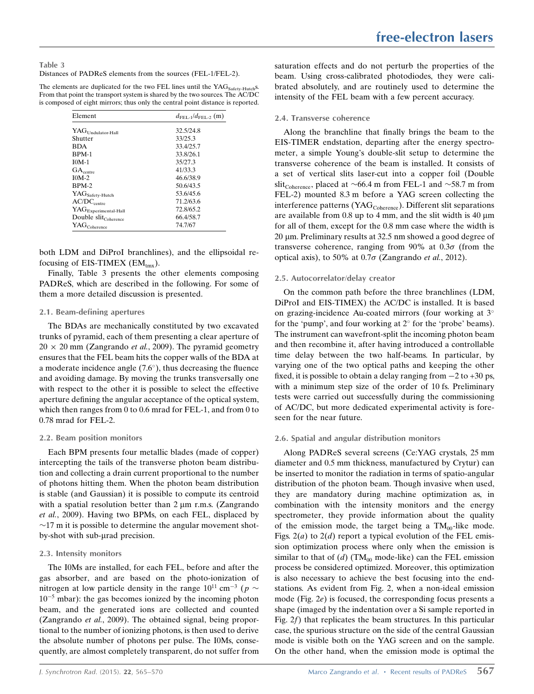Table 3 Distances of PADReS elements from the sources (FEL-1/FEL-2).

The elements are duplicated for the two FEL lines until the YAG<sub>Safety-Hutch</sub>s. From that point the transport system is shared by the two sources. The AC/DC is composed of eight mirrors; thus only the central point distance is reported.

| Element                                            | $d_{\text{FEI} \rightarrow} / d_{\text{FEI} \rightarrow 2}$ (m) |
|----------------------------------------------------|-----------------------------------------------------------------|
| $\mathbf{YAG}_{\text{Undulator-Hall}}$             | 32.5/24.8                                                       |
| Shutter                                            | 33/25.3                                                         |
| <b>BDA</b>                                         | 33.4/25.7                                                       |
| BPM-1                                              | 33.8/26.1                                                       |
| $IOM-1$                                            | 35/27.3                                                         |
| $GA_{centre}$                                      | 41/33.3                                                         |
| $IOM-2$                                            | 46.6/38.9                                                       |
| BPM-2                                              | 50.6/43.5                                                       |
| $\mathbf{YAG}_{\mathbf{Safety}\text{-Hutch}}$      | 53.6/45.6                                                       |
| $\mathrm{AC/DC}_{\mathrm{centre}}$                 | 71.2/63.6                                                       |
| $\mathbf{YAG}_{\mathbf{Experimental\text{-}Hall}}$ | 72.8/65.2                                                       |
| Double slit <sub>Coherence</sub>                   | 66.4/58.7                                                       |
| $\mathbf{YAG}_\mathbf{Coherence}$                  | 74.7/67                                                         |

both LDM and DiProI branchlines), and the ellipsoidal refocusing of EIS-TIMEX  $(EM_{\text{triv}})$ .

Finally, Table 3 presents the other elements composing PADReS, which are described in the following. For some of them a more detailed discussion is presented.

#### 2.1. Beam-defining apertures

The BDAs are mechanically constituted by two excavated trunks of pyramid, each of them presenting a clear aperture of  $20 \times 20$  mm (Zangrando *et al.*, 2009). The pyramid geometry ensures that the FEL beam hits the copper walls of the BDA at a moderate incidence angle  $(7.6^{\circ})$ , thus decreasing the fluence and avoiding damage. By moving the trunks transversally one with respect to the other it is possible to select the effective aperture defining the angular acceptance of the optical system, which then ranges from 0 to 0.6 mrad for FEL-1, and from 0 to 0.78 mrad for FEL-2.

#### 2.2. Beam position monitors

Each BPM presents four metallic blades (made of copper) intercepting the tails of the transverse photon beam distribution and collecting a drain current proportional to the number of photons hitting them. When the photon beam distribution is stable (and Gaussian) it is possible to compute its centroid with a spatial resolution better than  $2 \mu m$  r.m.s. (Zangrando et al., 2009). Having two BPMs, on each FEL, displaced by  $\sim$ 17 m it is possible to determine the angular movement shotby-shot with sub-urad precision.

#### 2.3. Intensity monitors

The I0Ms are installed, for each FEL, before and after the gas absorber, and are based on the photo-ionization of nitrogen at low particle density in the range  $10^{11}$  cm<sup>-3</sup> ( $p \sim$  $10^{-5}$  mbar): the gas becomes ionized by the incoming photon beam, and the generated ions are collected and counted (Zangrando et al., 2009). The obtained signal, being proportional to the number of ionizing photons, is then used to derive the absolute number of photons per pulse. The I0Ms, consequently, are almost completely transparent, do not suffer from saturation effects and do not perturb the properties of the beam. Using cross-calibrated photodiodes, they were calibrated absolutely, and are routinely used to determine the intensity of the FEL beam with a few percent accuracy.

### 2.4. Transverse coherence

Along the branchline that finally brings the beam to the EIS-TIMER endstation, departing after the energy spectrometer, a simple Young's double-slit setup to determine the transverse coherence of the beam is installed. It consists of a set of vertical slits laser-cut into a copper foil (Double slit<sub>Coherence</sub>, placed at  $\sim$ 66.4 m from FEL-1 and  $\sim$ 58.7 m from FEL-2) mounted 8.3 m before a YAG screen collecting the interference patterns (YAG<sub>Coherence</sub>). Different slit separations are available from  $0.8$  up to 4 mm, and the slit width is  $40 \mu m$ for all of them, except for the 0.8 mm case where the width is  $20 \mu$ m. Preliminary results at 32.5 nm showed a good degree of transverse coherence, ranging from 90% at  $0.3\sigma$  (from the optical axis), to 50% at  $0.7\sigma$  (Zangrando *et al.*, 2012).

### 2.5. Autocorrelator/delay creator

On the common path before the three branchlines (LDM, DiProI and EIS-TIMEX) the AC/DC is installed. It is based on grazing-incidence Au-coated mirrors (four working at 3 for the 'pump', and four working at  $2^{\circ}$  for the 'probe' beams). The instrument can wavefront-split the incoming photon beam and then recombine it, after having introduced a controllable time delay between the two half-beams. In particular, by varying one of the two optical paths and keeping the other fixed, it is possible to obtain a delay ranging from  $-2$  to  $+30$  ps, with a minimum step size of the order of 10 fs. Preliminary tests were carried out successfully during the commissioning of AC/DC, but more dedicated experimental activity is foreseen for the near future.

### 2.6. Spatial and angular distribution monitors

Along PADReS several screens (Ce:YAG crystals, 25 mm diameter and 0.5 mm thickness, manufactured by Crytur) can be inserted to monitor the radiation in terms of spatio-angular distribution of the photon beam. Though invasive when used, they are mandatory during machine optimization as, in combination with the intensity monitors and the energy spectrometer, they provide information about the quality of the emission mode, the target being a  $TM_{00}$ -like mode. Figs.  $2(a)$  to  $2(d)$  report a typical evolution of the FEL emission optimization process where only when the emission is similar to that of (d) (TM<sub>00</sub> mode-like) can the FEL emission process be considered optimized. Moreover, this optimization is also necessary to achieve the best focusing into the endstations. As evident from Fig. 2, when a non-ideal emission mode (Fig. 2e) is focused, the corresponding focus presents a shape (imaged by the indentation over a Si sample reported in Fig. 2f) that replicates the beam structures. In this particular case, the spurious structure on the side of the central Gaussian mode is visible both on the YAG screen and on the sample. On the other hand, when the emission mode is optimal the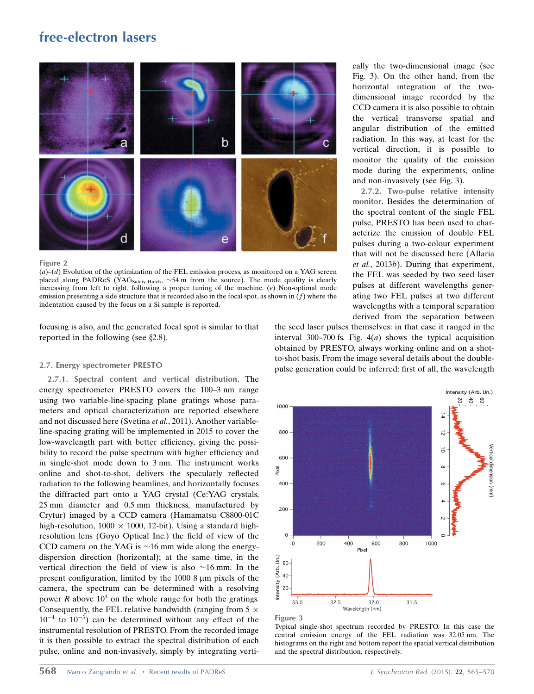## free-electron lasers



Figure 2

 $(a)$ – $(d)$  Evolution of the optimization of the FEL emission process, as monitored on a YAG screen placed along PADReS (YAG<sub>Safety-Hutch</sub>,  $\sim$ 54 m from the source). The mode quality is clearly increasing from left to right, following a proper tuning of the machine.  $(e)$  Non-optimal mode emission presenting a side structure that is recorded also in the focal spot, as shown in  $(f)$  where the indentation caused by the focus on a Si sample is reported.

focusing is also, and the generated focal spot is similar to that reported in the following (see  $\S$ 2.8).

#### 2.7. Energy spectrometer PRESTO

2.7.1. Spectral content and vertical distribution. The energy spectrometer PRESTO covers the 100–3 nm range using two variable-line-spacing plane gratings whose parameters and optical characterization are reported elsewhere and not discussed here (Svetina et al., 2011). Another variableline-spacing grating will be implemented in 2015 to cover the low-wavelength part with better efficiency, giving the possibility to record the pulse spectrum with higher efficiency and in single-shot mode down to 3 nm. The instrument works online and shot-to-shot, delivers the specularly reflected radiation to the following beamlines, and horizontally focuses the diffracted part onto a YAG crystal (Ce:YAG crystals, 25 mm diameter and 0.5 mm thickness, manufactured by Crytur) imaged by a CCD camera (Hamamatsu C8800-01C high-resolution,  $1000 \times 1000$ ,  $12$ -bit). Using a standard highresolution lens (Goyo Optical Inc.) the field of view of the CCD camera on the YAG is  $\sim$ 16 mm wide along the energydispersion direction (horizontal); at the same time, in the vertical direction the field of view is also  $\sim$ 16 mm. In the present configuration, limited by the 1000 8 µm pixels of the camera, the spectrum can be determined with a resolving power R above  $10<sup>4</sup>$  on the whole range for both the gratings. Consequently, the FEL relative bandwidth (ranging from  $5 \times$  $10^{-4}$  to  $10^{-3}$ ) can be determined without any effect of the instrumental resolution of PRESTO. From the recorded image it is then possible to extract the spectral distribution of each pulse, online and non-invasively, simply by integrating vertihorizontal integration of the twodimensional image recorded by the CCD camera it is also possible to obtain the vertical transverse spatial and angular distribution of the emitted radiation. In this way, at least for the vertical direction, it is possible to monitor the quality of the emission mode during the experiments, online and non-invasively (see Fig. 3). 2.7.2. Two-pulse relative intensity monitor. Besides the determination of

cally the two-dimensional image (see Fig. 3). On the other hand, from the

the spectral content of the single FEL pulse, PRESTO has been used to characterize the emission of double FEL pulses during a two-colour experiment that will not be discussed here (Allaria et al., 2013b). During that experiment, the FEL was seeded by two seed laser pulses at different wavelengths generating two FEL pulses at two different wavelengths with a temporal separation derived from the separation between

the seed laser pulses themselves: in that case it ranged in the interval 300–700 fs. Fig.  $4(a)$  shows the typical acquisition obtained by PRESTO, always working online and on a shotto-shot basis. From the image several details about the doublepulse generation could be inferred: first of all, the wavelength





Typical single-shot spectrum recorded by PRESTO. In this case the central emission energy of the FEL radiation was 32.05 nm. The histograms on the right and bottom report the spatial vertical distribution and the spectral distribution, respectively.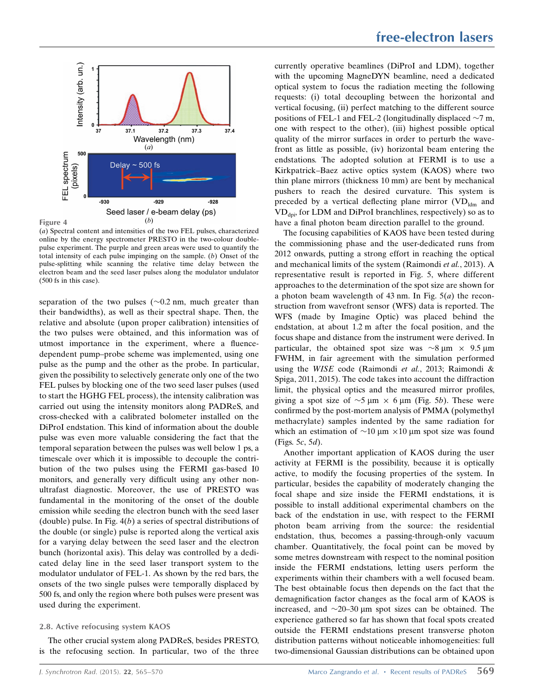

(a) Spectral content and intensities of the two FEL pulses, characterized online by the energy spectrometer PRESTO in the two-colour doublepulse experiment. The purple and green areas were used to quantify the total intensity of each pulse impinging on the sample. (b) Onset of the pulse-splitting while scanning the relative time delay between the electron beam and the seed laser pulses along the modulator undulator (500 fs in this case).

separation of the two pulses  $(\sim 0.2 \text{ nm}, \text{ much greater than})$ their bandwidths), as well as their spectral shape. Then, the relative and absolute (upon proper calibration) intensities of the two pulses were obtained, and this information was of utmost importance in the experiment, where a fluencedependent pump–probe scheme was implemented, using one pulse as the pump and the other as the probe. In particular, given the possibility to selectively generate only one of the two FEL pulses by blocking one of the two seed laser pulses (used to start the HGHG FEL process), the intensity calibration was carried out using the intensity monitors along PADReS, and cross-checked with a calibrated bolometer installed on the DiProI endstation. This kind of information about the double pulse was even more valuable considering the fact that the temporal separation between the pulses was well below 1 ps, a timescale over which it is impossible to decouple the contribution of the two pulses using the FERMI gas-based I0 monitors, and generally very difficult using any other nonultrafast diagnostic. Moreover, the use of PRESTO was fundamental in the monitoring of the onset of the double emission while seeding the electron bunch with the seed laser (double) pulse. In Fig.  $4(b)$  a series of spectral distributions of the double (or single) pulse is reported along the vertical axis for a varying delay between the seed laser and the electron bunch (horizontal axis). This delay was controlled by a dedicated delay line in the seed laser transport system to the modulator undulator of FEL-1. As shown by the red bars, the onsets of the two single pulses were temporally displaced by 500 fs, and only the region where both pulses were present was used during the experiment.

#### 2.8. Active refocusing system KAOS

The other crucial system along PADReS, besides PRESTO, is the refocusing section. In particular, two of the three currently operative beamlines (DiProI and LDM), together with the upcoming MagneDYN beamline, need a dedicated optical system to focus the radiation meeting the following requests: (i) total decoupling between the horizontal and vertical focusing, (ii) perfect matching to the different source positions of FEL-1 and FEL-2 (longitudinally displaced  $\sim$ 7 m, one with respect to the other), (iii) highest possible optical quality of the mirror surfaces in order to perturb the wavefront as little as possible, (iv) horizontal beam entering the endstations. The adopted solution at FERMI is to use a Kirkpatrick–Baez active optics system (KAOS) where two thin plane mirrors (thickness 10 mm) are bent by mechanical pushers to reach the desired curvature. This system is preceded by a vertical deflecting plane mirror  $(\text{VD}_{\text{ldm}})$  and  $VD<sub>don</sub>$ , for LDM and DiProI branchlines, respectively) so as to have a final photon beam direction parallel to the ground.

The focusing capabilities of KAOS have been tested during the commissioning phase and the user-dedicated runs from 2012 onwards, putting a strong effort in reaching the optical and mechanical limits of the system (Raimondi et al., 2013). A representative result is reported in Fig. 5, where different approaches to the determination of the spot size are shown for a photon beam wavelength of 43 nm. In Fig.  $5(a)$  the reconstruction from wavefront sensor (WFS) data is reported. The WFS (made by Imagine Optic) was placed behind the endstation, at about 1.2 m after the focal position, and the focus shape and distance from the instrument were derived. In particular, the obtained spot size was  $\sim$ 8  $\mu$ m  $\times$  9.5  $\mu$ m FWHM, in fair agreement with the simulation performed using the WISE code (Raimondi et al., 2013; Raimondi & Spiga, 2011, 2015). The code takes into account the diffraction limit, the physical optics and the measured mirror profiles, giving a spot size of  $\sim$ 5  $\mu$ m  $\times$  6  $\mu$ m (Fig. 5*b*). These were confirmed by the post-mortem analysis of PMMA (polymethyl methacrylate) samples indented by the same radiation for which an estimation of  $\sim 10 \mu m \times 10 \mu m$  spot size was found (Figs. 5c, 5d).

Another important application of KAOS during the user activity at FERMI is the possibility, because it is optically active, to modify the focusing properties of the system. In particular, besides the capability of moderately changing the focal shape and size inside the FERMI endstations, it is possible to install additional experimental chambers on the back of the endstation in use, with respect to the FERMI photon beam arriving from the source: the residential endstation, thus, becomes a passing-through-only vacuum chamber. Quantitatively, the focal point can be moved by some metres downstream with respect to the nominal position inside the FERMI endstations, letting users perform the experiments within their chambers with a well focused beam. The best obtainable focus then depends on the fact that the demagnification factor changes as the focal arm of KAOS is increased, and  $\sim$ 20–30 µm spot sizes can be obtained. The experience gathered so far has shown that focal spots created outside the FERMI endstations present transverse photon distribution patterns without noticeable inhomogeneities: full two-dimensional Gaussian distributions can be obtained upon